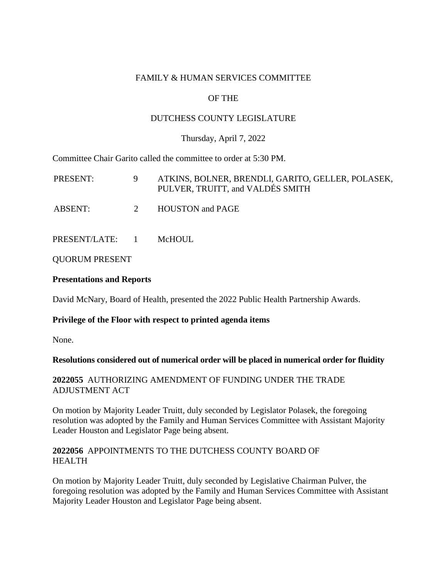### FAMILY & HUMAN SERVICES COMMITTEE

# OF THE

## DUTCHESS COUNTY LEGISLATURE

### Thursday, April 7, 2022

Committee Chair Garito called the committee to order at 5:30 PM.

| PRESENT:        | 9             | ATKINS, BOLNER, BRENDLI, GARITO, GELLER, POLASEK,<br>PULVER, TRUITT, and VALDÉS SMITH |
|-----------------|---------------|---------------------------------------------------------------------------------------|
| ABSENT:         | $\mathcal{L}$ | <b>HOUSTON</b> and PAGE                                                               |
| PRESENT/LATE: 1 |               | McHOUL                                                                                |

QUORUM PRESENT

## **Presentations and Reports**

David McNary, Board of Health, presented the 2022 Public Health Partnership Awards.

# **Privilege of the Floor with respect to printed agenda items**

None.

#### **Resolutions considered out of numerical order will be placed in numerical order for fluidity**

**2022055** AUTHORIZING AMENDMENT OF FUNDING UNDER THE TRADE ADJUSTMENT ACT

On motion by Majority Leader Truitt, duly seconded by Legislator Polasek, the foregoing resolution was adopted by the Family and Human Services Committee with Assistant Majority Leader Houston and Legislator Page being absent.

#### **2022056** APPOINTMENTS TO THE DUTCHESS COUNTY BOARD OF HEALTH

On motion by Majority Leader Truitt, duly seconded by Legislative Chairman Pulver, the foregoing resolution was adopted by the Family and Human Services Committee with Assistant Majority Leader Houston and Legislator Page being absent.